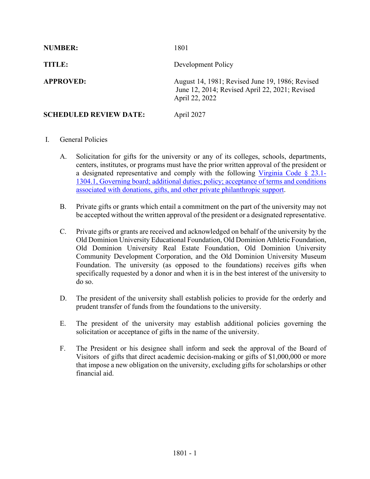| <b>NUMBER:</b>                | 1801                                                                                                                |
|-------------------------------|---------------------------------------------------------------------------------------------------------------------|
| TITLE:                        | Development Policy                                                                                                  |
| <b>APPROVED:</b>              | August 14, 1981; Revised June 19, 1986; Revised<br>June 12, 2014; Revised April 22, 2021; Revised<br>April 22, 2022 |
| <b>SCHEDULED REVIEW DATE:</b> | April 2027                                                                                                          |

# I. General Policies

- A. Solicitation for gifts for the university or any of its colleges, schools, departments, centers, institutes, or programs must have the prior written approval of the president or a designated representative and comply with the following [Virginia Code §](https://law.lis.virginia.gov/vacode/title23.1/chapter13/section23.1-1304.1/) 23.1- [1304.1, Governing board; additional duties; policy; acceptance of terms and conditions](https://law.lis.virginia.gov/vacode/title23.1/chapter13/section23.1-1304.1/)  [associated with donations, gifts, and other private philanthropic support.](https://law.lis.virginia.gov/vacode/title23.1/chapter13/section23.1-1304.1/)
- B. Private gifts or grants which entail a commitment on the part of the university may not be accepted without the written approval of the president or a designated representative.
- C. Private gifts or grants are received and acknowledged on behalf of the university by the Old Dominion University Educational Foundation, Old Dominion Athletic Foundation, Old Dominion University Real Estate Foundation, Old Dominion University Community Development Corporation, and the Old Dominion University Museum Foundation. The university (as opposed to the foundations) receives gifts when specifically requested by a donor and when it is in the best interest of the university to do so.
- D. The president of the university shall establish policies to provide for the orderly and prudent transfer of funds from the foundations to the university.
- E. The president of the university may establish additional policies governing the solicitation or acceptance of gifts in the name of the university.
- F. The President or his designee shall inform and seek the approval of the Board of Visitors of gifts that direct academic decision-making or gifts of \$1,000,000 or more that impose a new obligation on the university, excluding gifts for scholarships or other financial aid.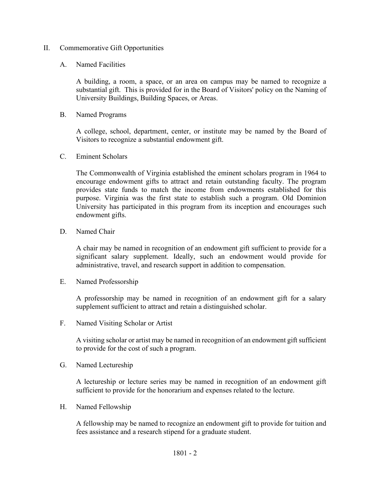### II. Commemorative Gift Opportunities

#### A. Named Facilities

A building, a room, a space, or an area on campus may be named to recognize a substantial gift. This is provided for in the Board of Visitors' policy on the Naming of University Buildings, Building Spaces, or Areas.

B. Named Programs

A college, school, department, center, or institute may be named by the Board of Visitors to recognize a substantial endowment gift.

C. Eminent Scholars

The Commonwealth of Virginia established the eminent scholars program in 1964 to encourage endowment gifts to attract and retain outstanding faculty. The program provides state funds to match the income from endowments established for this purpose. Virginia was the first state to establish such a program. Old Dominion University has participated in this program from its inception and encourages such endowment gifts.

D. Named Chair

A chair may be named in recognition of an endowment gift sufficient to provide for a significant salary supplement. Ideally, such an endowment would provide for administrative, travel, and research support in addition to compensation.

E. Named Professorship

A professorship may be named in recognition of an endowment gift for a salary supplement sufficient to attract and retain a distinguished scholar.

F. Named Visiting Scholar or Artist

A visiting scholar or artist may be named in recognition of an endowment gift sufficient to provide for the cost of such a program.

G. Named Lectureship

A lectureship or lecture series may be named in recognition of an endowment gift sufficient to provide for the honorarium and expenses related to the lecture.

H. Named Fellowship

A fellowship may be named to recognize an endowment gift to provide for tuition and fees assistance and a research stipend for a graduate student.